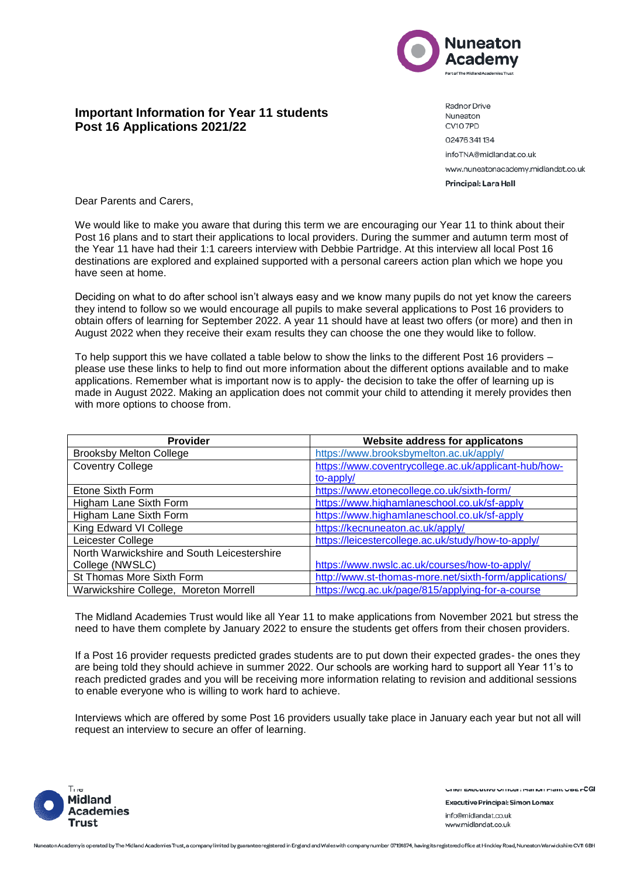

## **Important Information for Year 11 students Post 16 Applications 2021/22**

Radnor Drive Nuneaton CV107PD 02476341134 infoTNA@midlandat.co.uk www.nuneatonacademy.midlandat.co.uk Principal: Lara Hall

Dear Parents and Carers,

We would like to make you aware that during this term we are encouraging our Year 11 to think about their Post 16 plans and to start their applications to local providers. During the summer and autumn term most of the Year 11 have had their 1:1 careers interview with Debbie Partridge. At this interview all local Post 16 destinations are explored and explained supported with a personal careers action plan which we hope you have seen at home.

Deciding on what to do after school isn't always easy and we know many pupils do not yet know the careers they intend to follow so we would encourage all pupils to make several applications to Post 16 providers to obtain offers of learning for September 2022. A year 11 should have at least two offers (or more) and then in August 2022 when they receive their exam results they can choose the one they would like to follow.

To help support this we have collated a table below to show the links to the different Post 16 providers – please use these links to help to find out more information about the different options available and to make applications. Remember what is important now is to apply- the decision to take the offer of learning up is made in August 2022. Making an application does not commit your child to attending it merely provides then with more options to choose from.

| Provider                                    | Website address for applicatons                        |
|---------------------------------------------|--------------------------------------------------------|
| <b>Brooksby Melton College</b>              | https://www.brooksbymelton.ac.uk/apply/                |
| <b>Coventry College</b>                     | https://www.coventrycollege.ac.uk/applicant-hub/how-   |
|                                             | to-apply/                                              |
| Etone Sixth Form                            | https://www.etonecollege.co.uk/sixth-form/             |
| Higham Lane Sixth Form                      | https://www.highamlaneschool.co.uk/sf-apply            |
| Higham Lane Sixth Form                      | https://www.highamlaneschool.co.uk/sf-apply            |
| King Edward VI College                      | https://kecnuneaton.ac.uk/apply/                       |
| Leicester College                           | https://leicestercollege.ac.uk/study/how-to-apply/     |
| North Warwickshire and South Leicestershire |                                                        |
| College (NWSLC)                             | https://www.nwslc.ac.uk/courses/how-to-apply/          |
| St Thomas More Sixth Form                   | http://www.st-thomas-more.net/sixth-form/applications/ |
| Warwickshire College, Moreton Morrell       | https://wcg.ac.uk/page/815/applying-for-a-course       |

The Midland Academies Trust would like all Year 11 to make applications from November 2021 but stress the need to have them complete by January 2022 to ensure the students get offers from their chosen providers.

If a Post 16 provider requests predicted grades students are to put down their expected grades- the ones they are being told they should achieve in summer 2022. Our schools are working hard to support all Year 11's to reach predicted grades and you will be receiving more information relating to revision and additional sessions to enable everyone who is willing to work hard to achieve.

Interviews which are offered by some Post 16 providers usually take place in January each year but not all will request an interview to secure an offer of learning.



Unier Executive Urricer: marion Plant UDE FÜGI

**Executive Principal: Simon Lomax** info@midlandat.co.uk www.midlandat.co.uk